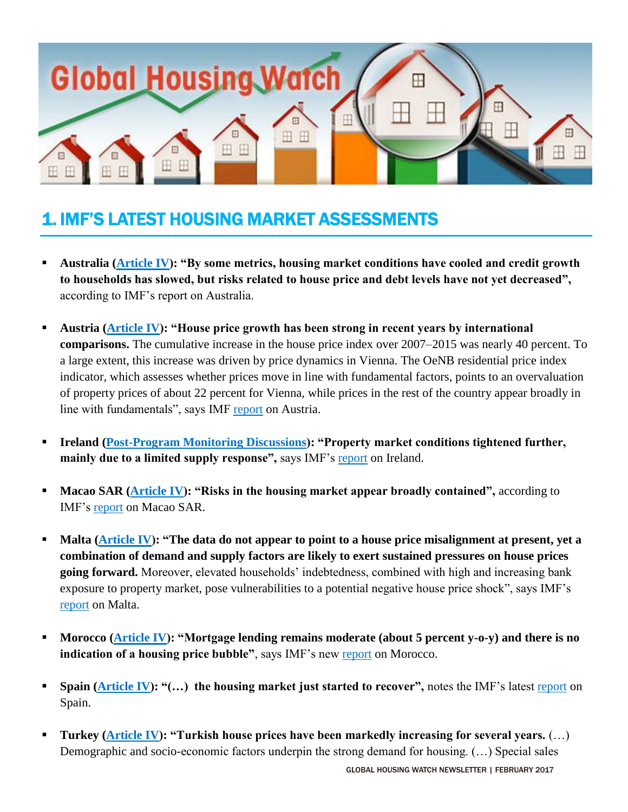

# 1. IMF'S LATEST HOUSING MARKET ASSESSMENTS

- **Australia [\(Article IV\)](http://unassumingeconomist.com/2017/02/house-prices-in-australia-2/): "By some metrics, housing market conditions have cooled and credit growth to households has slowed, but risks related to house price and debt levels have not yet decreased",**  according to IMF's report on Australia.
- **Austria [\(Article IV\)](http://unassumingeconomist.com/2017/02/house-prices-in-austria-3/): "House price growth has been strong in recent years by international comparisons.** The cumulative increase in the house price index over 2007–2015 was nearly 40 percent. To a large extent, this increase was driven by price dynamics in Vienna. The OeNB residential price index indicator, which assesses whether prices move in line with fundamental factors, points to an overvaluation of property prices of about 22 percent for Vienna, while prices in the rest of the country appear broadly in line with fundamentals", says IMF [report](http://www.imf.org/~/media/Files/Publications/CR/2017/cr1726.ashx) on Austria.
- **Ireland [\(Post-Program Monitoring Discussions\)](http://unassumingeconomist.com/2017/02/housing-market-in-ireland-2/): "Property market conditions tightened further, mainly due to a limited supply response",** says IMF's [report](http://unassumingeconomist.com/2017/02/housing-market-in-ireland-2/) on Ireland.
- **Macao SAR [\(Article IV\)](http://unassumingeconomist.com/2017/02/house-prices-in-macao/): "Risks in the housing market appear broadly contained", according to** IMF's [report](http://www.imf.org/~/media/Files/Publications/CR/2017/cr1750.ashx) on Macao SAR.
- **Malta [\(Article IV\)](http://unassumingeconomist.com/2017/02/housing-market-in-malta-2/): "The data do not appear to point to a house price misalignment at present, yet a combination of demand and supply factors are likely to exert sustained pressures on house prices going forward.** Moreover, elevated households' indebtedness, combined with high and increasing bank exposure to property market, pose vulnerabilities to a potential negative house price shock", says IMF's [report](http://www.imf.org/~/media/Files/Publications/CR/2017/cr1757.ashx) on Malta.
- **Morocco [\(Article IV\)](http://unassumingeconomist.com/2017/02/house-prices-in-morocco/): "Mortgage lending remains moderate (about 5 percent y-o-y) and there is no** indication of a housing price bubble", says IMF's new [report](http://www.imf.org/~/media/Files/Publications/CR/2017/cr1736.ashx) on Morocco.
- **Spain [\(Article IV\)](http://unassumingeconomist.com/2017/01/house-prices-in-spain-4/): "(...) the housing market just started to recover", notes the IMF's latest [report](http://www.imf.org/~/media/Files/Publications/CR/2017/cr1723.ashx) on** Spain.
- **Turkey [\(Article IV\)](http://unassumingeconomist.com/2017/02/housing-market-in-turkey/): "Turkish house prices have been markedly increasing for several years.** (…) Demographic and socio-economic factors underpin the strong demand for housing. (…) Special sales

GLOBAL HOUSING WATCH NEWSLETTER | FEBRUARY 2017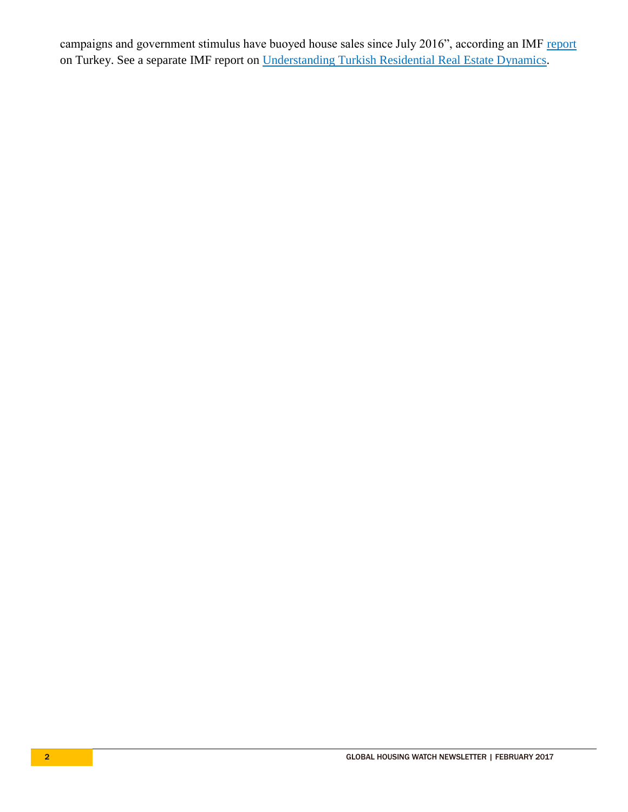campaigns and government stimulus have buoyed house sales since July 2016", according an IMF [report](http://www.imf.org/~/media/Files/Publications/CR/2017/cr1732.ashx) on Turkey. See a separate IMF report on [Understanding Turkish Residential Real Estate Dynamics.](http://www.imf.org/~/media/Files/Publications/CR/2017/cr1733.ashx)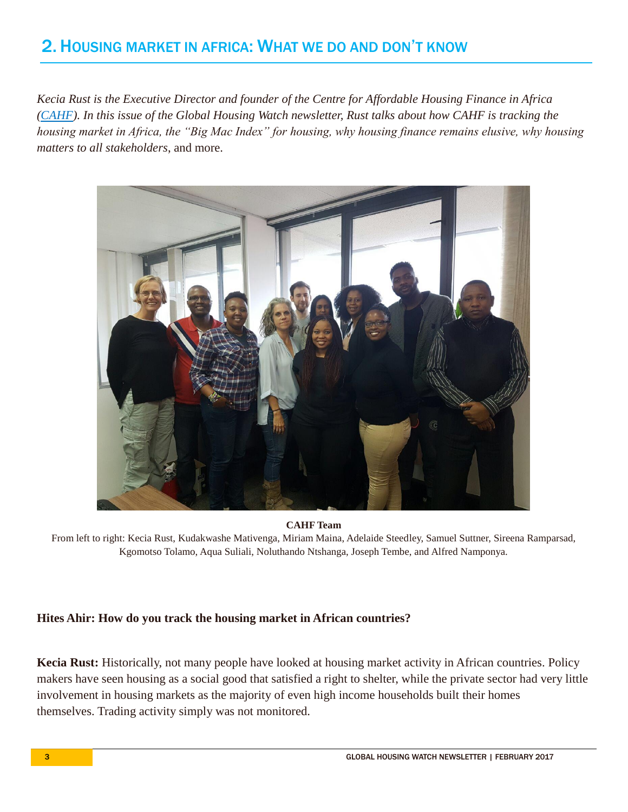# 2. HOUSING MARKET IN AFRICA: WHAT WE DO AND DON'T KNOW

*Kecia Rust is the Executive Director and founder of the Centre for Affordable Housing Finance in Africa [\(CAHF\)](http://www.housingfinanceafrica.org/). In this issue of the Global Housing Watch newsletter, Rust talks about how CAHF is tracking the housing market in Africa, the "Big Mac Index" for housing, why housing finance remains elusive, why housing matters to all stakeholders*, and more.



**CAHF Team**

From left to right: Kecia Rust, Kudakwashe Mativenga, Miriam Maina, Adelaide Steedley, Samuel Suttner, Sireena Ramparsad, Kgomotso Tolamo, Aqua Suliali, Noluthando Ntshanga, Joseph Tembe, and Alfred Namponya.

#### **Hites Ahir: How do you track the housing market in African countries?**

**Kecia Rust:** Historically, not many people have looked at housing market activity in African countries. Policy makers have seen housing as a social good that satisfied a right to shelter, while the private sector had very little involvement in housing markets as the majority of even high income households built their homes themselves. Trading activity simply was not monitored.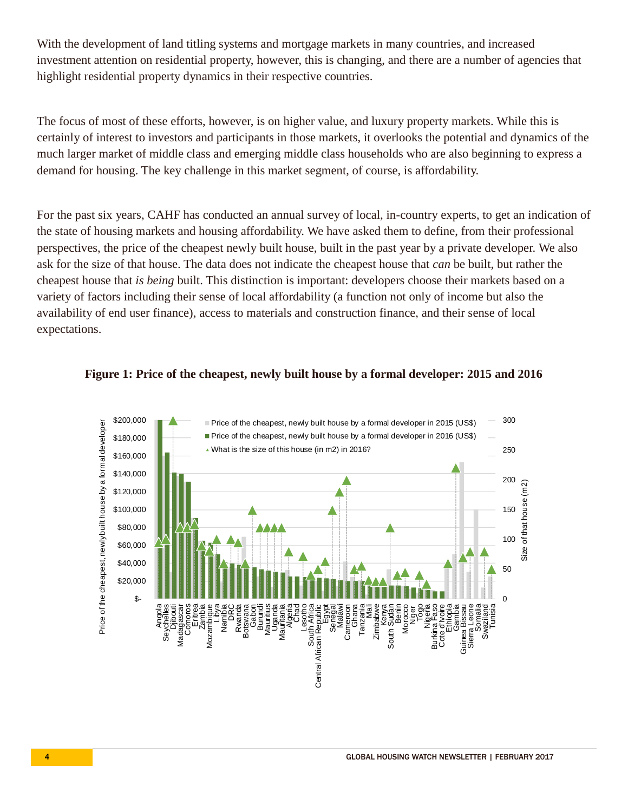With the development of land titling systems and mortgage markets in many countries, and increased investment attention on residential property, however, this is changing, and there are a number of agencies that highlight residential property dynamics in their respective countries.

The focus of most of these efforts, however, is on higher value, and luxury property markets. While this is certainly of interest to investors and participants in those markets, it overlooks the potential and dynamics of the much larger market of middle class and emerging middle class households who are also beginning to express a demand for housing. The key challenge in this market segment, of course, is affordability.

For the past six years, CAHF has conducted an annual survey of local, in-country experts, to get an indication of the state of housing markets and housing affordability. We have asked them to define, from their professional perspectives, the price of the cheapest newly built house, built in the past year by a private developer. We also ask for the size of that house. The data does not indicate the cheapest house that *can* be built, but rather the cheapest house that *is being* built. This distinction is important: developers choose their markets based on a variety of factors including their sense of local affordability (a function not only of income but also the availability of end user finance), access to materials and construction finance, and their sense of local expectations.



#### **Figure 1: Price of the cheapest, newly built house by a formal developer: 2015 and 2016**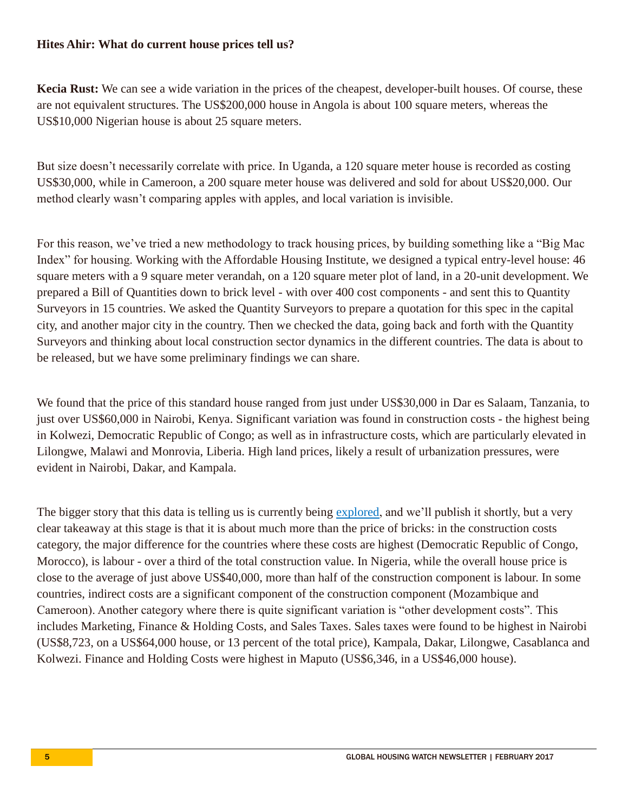#### **Hites Ahir: What do current house prices tell us?**

**Kecia Rust:** We can see a wide variation in the prices of the cheapest, developer-built houses. Of course, these are not equivalent structures. The US\$200,000 house in Angola is about 100 square meters, whereas the US\$10,000 Nigerian house is about 25 square meters.

But size doesn't necessarily correlate with price. In Uganda, a 120 square meter house is recorded as costing US\$30,000, while in Cameroon, a 200 square meter house was delivered and sold for about US\$20,000. Our method clearly wasn't comparing apples with apples, and local variation is invisible.

For this reason, we've tried a new methodology to track housing prices, by building something like a "Big Mac Index" for housing. Working with the Affordable Housing Institute, we designed a typical entry-level house: 46 square meters with a 9 square meter verandah, on a 120 square meter plot of land, in a 20-unit development. We prepared a Bill of Quantities down to brick level - with over 400 cost components - and sent this to Quantity Surveyors in 15 countries. We asked the Quantity Surveyors to prepare a quotation for this spec in the capital city, and another major city in the country. Then we checked the data, going back and forth with the Quantity Surveyors and thinking about local construction sector dynamics in the different countries. The data is about to be released, but we have some preliminary findings we can share.

We found that the price of this standard house ranged from just under US\$30,000 in Dar es Salaam, Tanzania, to just over US\$60,000 in Nairobi, Kenya. Significant variation was found in construction costs - the highest being in Kolwezi, Democratic Republic of Congo; as well as in infrastructure costs, which are particularly elevated in Lilongwe, Malawi and Monrovia, Liberia. High land prices, likely a result of urbanization pressures, were evident in Nairobi, Dakar, and Kampala.

The bigger story that this data is telling us is currently being [explored,](http://www.housingfinanceafrica.org/blog/what-role-does-housing-play-in-african-economies) and we'll publish it shortly, but a very clear takeaway at this stage is that it is about much more than the price of bricks: in the construction costs category, the major difference for the countries where these costs are highest (Democratic Republic of Congo, Morocco), is labour - over a third of the total construction value. In Nigeria, while the overall house price is close to the average of just above US\$40,000, more than half of the construction component is labour. In some countries, indirect costs are a significant component of the construction component (Mozambique and Cameroon). Another category where there is quite significant variation is "other development costs". This includes Marketing, Finance & Holding Costs, and Sales Taxes. Sales taxes were found to be highest in Nairobi (US\$8,723, on a US\$64,000 house, or 13 percent of the total price), Kampala, Dakar, Lilongwe, Casablanca and Kolwezi. Finance and Holding Costs were highest in Maputo (US\$6,346, in a US\$46,000 house).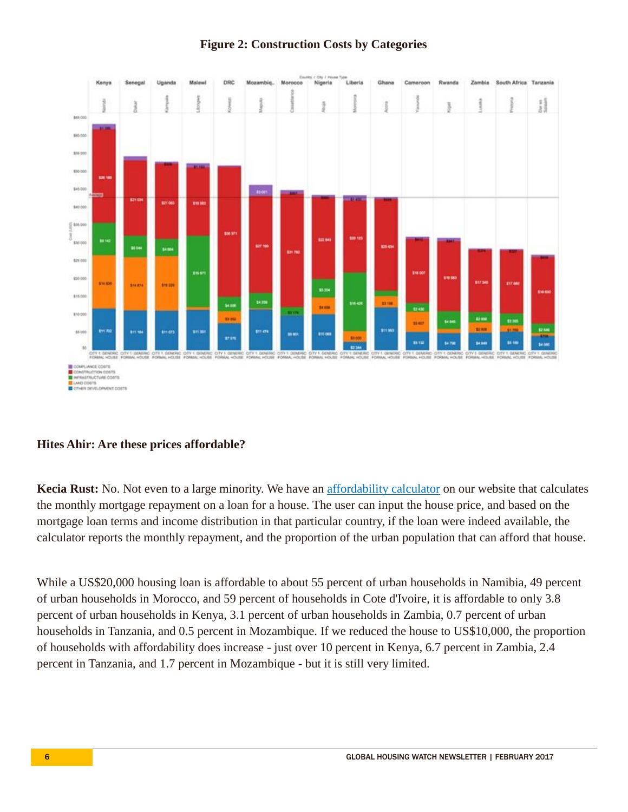

### **Figure 2: Construction Costs by Categories**

#### **Hites Ahir: Are these prices affordable?**

**Kecia Rust:** No. Not even to a large minority. We have an [affordability calculator](http://www.housingfinanceafrica.org/calculating-mortgage-and-housing-affordability-in-africa/) on our website that calculates the monthly mortgage repayment on a loan for a house. The user can input the house price, and based on the mortgage loan terms and income distribution in that particular country, if the loan were indeed available, the calculator reports the monthly repayment, and the proportion of the urban population that can afford that house.

While a US\$20,000 housing loan is affordable to about 55 percent of urban households in Namibia, 49 percent of urban households in Morocco, and 59 percent of households in Cote d'Ivoire, it is affordable to only 3.8 percent of urban households in Kenya, 3.1 percent of urban households in Zambia, 0.7 percent of urban households in Tanzania, and 0.5 percent in Mozambique. If we reduced the house to US\$10,000, the proportion of households with affordability does increase - just over 10 percent in Kenya, 6.7 percent in Zambia, 2.4 percent in Tanzania, and 1.7 percent in Mozambique - but it is still very limited.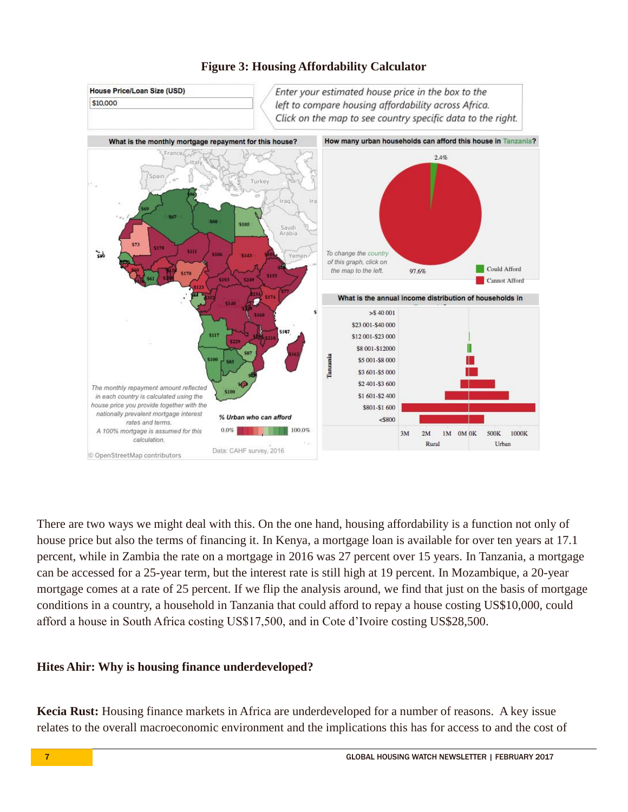

#### **Figure 3: Housing Affordability Calculator**

There are two ways we might deal with this. On the one hand, housing affordability is a function not only of house price but also the terms of financing it. In Kenya, a mortgage loan is available for over ten years at 17.1 percent, while in Zambia the rate on a mortgage in 2016 was 27 percent over 15 years. In Tanzania, a mortgage can be accessed for a 25-year term, but the interest rate is still high at 19 percent. In Mozambique, a 20-year mortgage comes at a rate of 25 percent. If we flip the analysis around, we find that just on the basis of mortgage conditions in a country, a household in Tanzania that could afford to repay a house costing US\$10,000, could afford a house in South Africa costing US\$17,500, and in Cote d'Ivoire costing US\$28,500.

#### **Hites Ahir: Why is housing finance underdeveloped?**

**Kecia Rust:** Housing finance markets in Africa are underdeveloped for a number of reasons. A key issue relates to the overall macroeconomic environment and the implications this has for access to and the cost of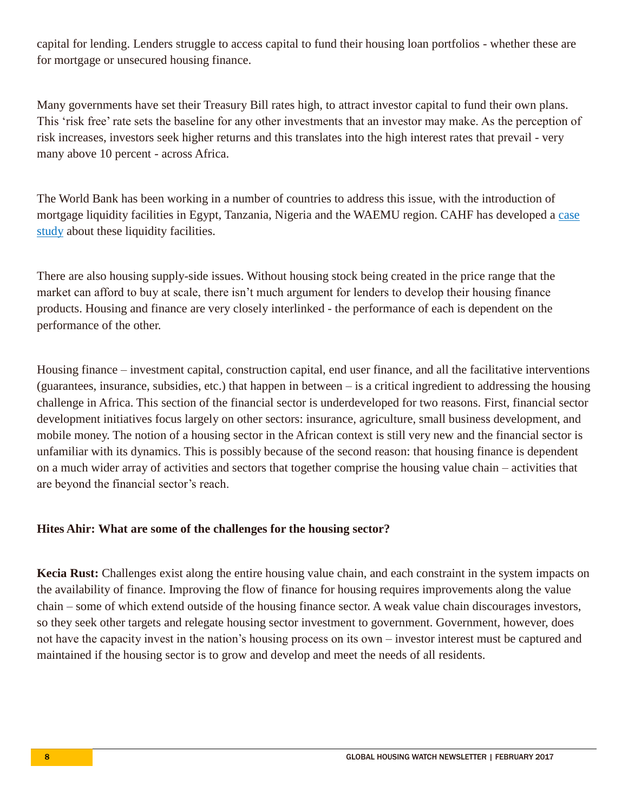capital for lending. Lenders struggle to access capital to fund their housing loan portfolios - whether these are for mortgage or unsecured housing finance.

Many governments have set their Treasury Bill rates high, to attract investor capital to fund their own plans. This 'risk free' rate sets the baseline for any other investments that an investor may make. As the perception of risk increases, investors seek higher returns and this translates into the high interest rates that prevail - very many above 10 percent - across Africa.

The World Bank has been working in a number of countries to address this issue, with the introduction of mortgage liquidity facilities in Egypt, Tanzania, Nigeria and the WAEMU region. CAHF has developed a [case](http://www.housingfinanceafrica.org/document/case-study-2-the-role-of-mortgage-liquidity-facilities-in-housing-finance-lessons-learned-from-egypt-tanzania-nigeria-and-malaysia/)  [study](http://www.housingfinanceafrica.org/document/case-study-2-the-role-of-mortgage-liquidity-facilities-in-housing-finance-lessons-learned-from-egypt-tanzania-nigeria-and-malaysia/) about these liquidity facilities.

There are also housing supply-side issues. Without housing stock being created in the price range that the market can afford to buy at scale, there isn't much argument for lenders to develop their housing finance products. Housing and finance are very closely interlinked - the performance of each is dependent on the performance of the other.

Housing finance – investment capital, construction capital, end user finance, and all the facilitative interventions (guarantees, insurance, subsidies, etc.) that happen in between – is a critical ingredient to addressing the housing challenge in Africa. This section of the financial sector is underdeveloped for two reasons. First, financial sector development initiatives focus largely on other sectors: insurance, agriculture, small business development, and mobile money. The notion of a housing sector in the African context is still very new and the financial sector is unfamiliar with its dynamics. This is possibly because of the second reason: that housing finance is dependent on a much wider array of activities and sectors that together comprise the housing value chain – activities that are beyond the financial sector's reach.

#### **Hites Ahir: What are some of the challenges for the housing sector?**

Kecia Rust: Challenges exist along the entire housing value chain, and each constraint in the system impacts on the availability of finance. Improving the flow of finance for housing requires improvements along the value chain – some of which extend outside of the housing finance sector. A weak value chain discourages investors, so they seek other targets and relegate housing sector investment to government. Government, however, does not have the capacity invest in the nation's housing process on its own – investor interest must be captured and maintained if the housing sector is to grow and develop and meet the needs of all residents.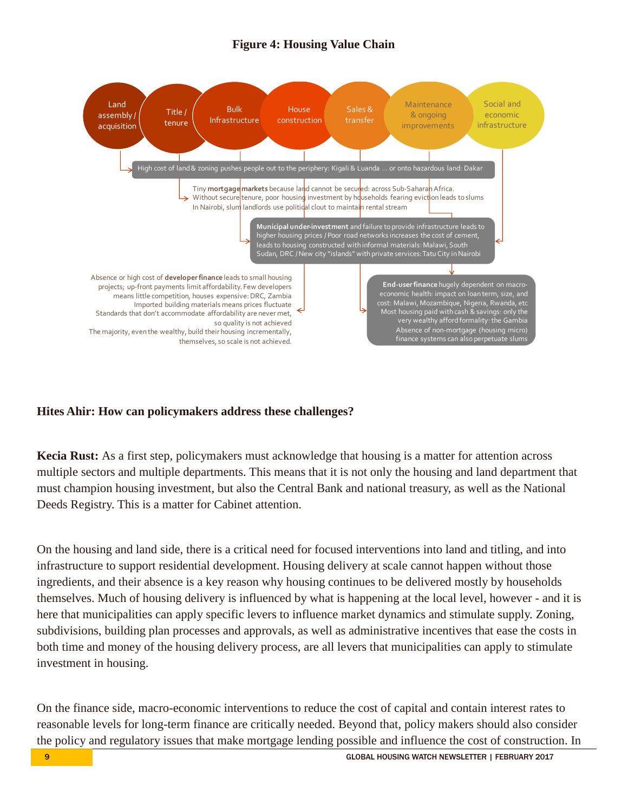### **Figure 4: Housing Value Chain**



#### **Hites Ahir: How can policymakers address these challenges?**

**Kecia Rust:** As a first step, policymakers must acknowledge that housing is a matter for attention across multiple sectors and multiple departments. This means that it is not only the housing and land department that must champion housing investment, but also the Central Bank and national treasury, as well as the National Deeds Registry. This is a matter for Cabinet attention.

On the housing and land side, there is a critical need for focused interventions into land and titling, and into infrastructure to support residential development. Housing delivery at scale cannot happen without those ingredients, and their absence is a key reason why housing continues to be delivered mostly by households themselves. Much of housing delivery is influenced by what is happening at the local level, however - and it is here that municipalities can apply specific levers to influence market dynamics and stimulate supply. Zoning, subdivisions, building plan processes and approvals, as well as administrative incentives that ease the costs in both time and money of the housing delivery process, are all levers that municipalities can apply to stimulate investment in housing.

On the finance side, macro-economic interventions to reduce the cost of capital and contain interest rates to reasonable levels for long-term finance are critically needed. Beyond that, policy makers should also consider the policy and regulatory issues that make mortgage lending possible and influence the cost of construction. In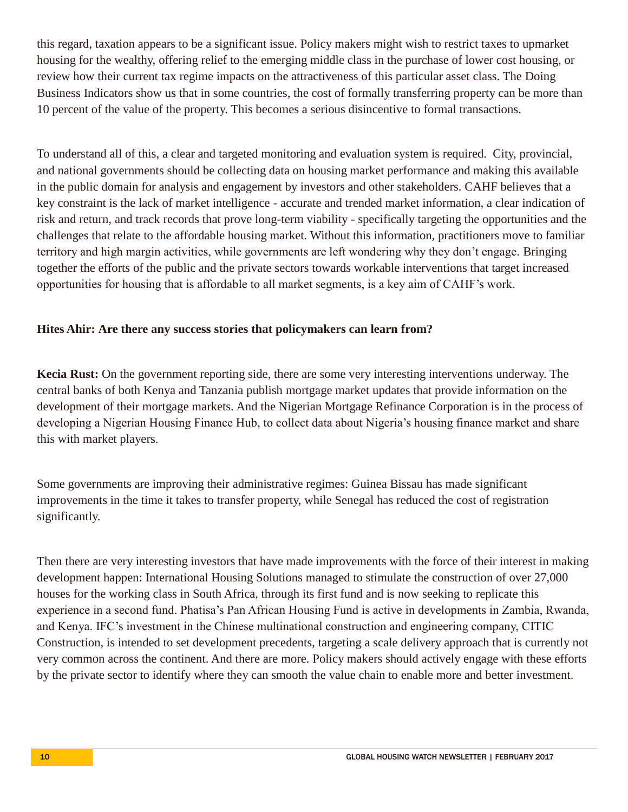this regard, taxation appears to be a significant issue. Policy makers might wish to restrict taxes to upmarket housing for the wealthy, offering relief to the emerging middle class in the purchase of lower cost housing, or review how their current tax regime impacts on the attractiveness of this particular asset class. The Doing Business Indicators show us that in some countries, the cost of formally transferring property can be more than 10 percent of the value of the property. This becomes a serious disincentive to formal transactions.

To understand all of this, a clear and targeted monitoring and evaluation system is required. City, provincial, and national governments should be collecting data on housing market performance and making this available in the public domain for analysis and engagement by investors and other stakeholders. CAHF believes that a key constraint is the lack of market intelligence - accurate and trended market information, a clear indication of risk and return, and track records that prove long-term viability - specifically targeting the opportunities and the challenges that relate to the affordable housing market. Without this information, practitioners move to familiar territory and high margin activities, while governments are left wondering why they don't engage. Bringing together the efforts of the public and the private sectors towards workable interventions that target increased opportunities for housing that is affordable to all market segments, is a key aim of CAHF's work.

#### **Hites Ahir: Are there any success stories that policymakers can learn from?**

**Kecia Rust:** On the government reporting side, there are some very interesting interventions underway. The central banks of both Kenya and Tanzania publish mortgage market updates that provide information on the development of their mortgage markets. And the Nigerian Mortgage Refinance Corporation is in the process of developing a Nigerian Housing Finance Hub, to collect data about Nigeria's housing finance market and share this with market players.

Some governments are improving their administrative regimes: Guinea Bissau has made significant improvements in the time it takes to transfer property, while Senegal has reduced the cost of registration significantly.

Then there are very interesting investors that have made improvements with the force of their interest in making development happen: International Housing Solutions managed to stimulate the construction of over 27,000 houses for the working class in South Africa, through its first fund and is now seeking to replicate this experience in a second fund. Phatisa's Pan African Housing Fund is active in developments in Zambia, Rwanda, and Kenya. IFC's investment in the Chinese multinational construction and engineering company, CITIC Construction, is intended to set development precedents, targeting a scale delivery approach that is currently not very common across the continent. And there are more. Policy makers should actively engage with these efforts by the private sector to identify where they can smooth the value chain to enable more and better investment.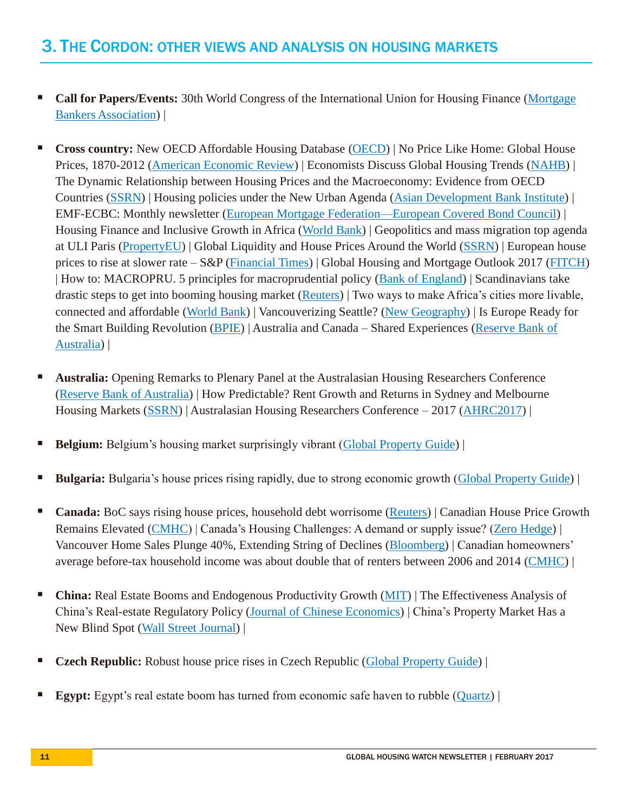- **Call for Papers/Events:** 30th World Congress of the International Union for Housing Finance (Mortgage) [Bankers Association\)](https://www.mba.org/mba-newslinks/2017/january/mba-newslink-tuesday-1-24-17/residential/international-union-for-housing-finance-world-congress-comes-to-washington-in-june?_zs=WqkwB1&_zl=iDaX3) |
- **Cross country:** New OECD Affordable Housing Database [\(OECD\)](http://www.oecd.org/social/affordable-housing-database.htm) | No Price Like Home: Global House Prices, 1870-2012 [\(American Economic Review\)](https://www.aeaweb.org/articles?id=10.1257/aer.20150501&&from=f) | Economists Discuss Global Housing Trends [\(NAHB\)](http://nahbnow.com/2017/01/economists-discuss-global-housing-trends/) | The Dynamic Relationship between Housing Prices and the Macroeconomy: Evidence from OECD Countries [\(SSRN\)](https://papers.ssrn.com/sol3/papers.cfm?abstract_id=2901495) | Housing policies under the New Urban Agenda [\(Asian Development Bank Institute\)](http://www.asiapathways-adbi.org/2017/01/housing-policies-under-the-new-urban-agenda/) | EMF-ECBC: Monthly newsletter [\(European Mortgage Federation—European Covered Bond Council\)](http://intranet.hypo.org/docs/1/POPNOLNDCEPOGAEHCNGFBCHKPDW39DBDB1TE4Q/EMF/Docs/DLS/2017-00005.pdf) | Housing Finance and Inclusive Growth in Africa [\(World Bank\)](http://documents.worldbank.org/curated/en/921351480963538993/pdf/WPS7902.pdf) | Geopolitics and mass migration top agenda at ULI Paris [\(PropertyEU\)](https://propertyeu.info/Nieuws/dca306a9-f4c7-4354-afb6-2b87ab9fee6d/Geopolitics-and-mass-migration-top-agenda-at-ULI-Paris) | Global Liquidity and House Prices Around the World [\(SSRN\)](https://papers.ssrn.com/sol3/papers2.cfm?abstract_id=2916413) | European house prices to rise at slower rate – S&P [\(Financial Times\)](https://www.ft.com/content/c3aad55a-55de-3a40-bd03-b2d7faf8eb65) | Global Housing and Mortgage Outlook 2017 [\(FITCH\)](https://www.fitchratings.com/site/structuredfinance/rmbs/globalhousing) | How to: MACROPRU. 5 principles for macroprudential policy [\(Bank of England\)](http://www.bis.org/review/r170217c.pdf) | Scandinavians take drastic steps to get into booming housing market [\(Reuters\)](http://uk.reuters.com/article/uk-nordics-housing-idUKKBN15Z188) | Two ways to make Africa's cities more livable, connected and affordable [\(World Bank\)](http://blogs.worldbank.org/developmenttalk/two-ways-make-africa-s-cities-more-livable-connected-and-affordable) | Vancouverizing Seattle? [\(New Geography\)](http://www.newgeography.com/content/005540-vancouverizing-seattle) | Is Europe Ready for the Smart Building Revolution [\(BPIE\)](http://bpie.eu/wp-content/uploads/2017/02/STATUS-REPORT-Is-Europe-ready_FINAL_LR.pdf) | Australia and Canada – Shared Experiences [\(Reserve Bank of](https://www.rba.gov.au/speeches/2017/sp-gov-2017-02-22.html)  [Australia\)](https://www.rba.gov.au/speeches/2017/sp-gov-2017-02-22.html) |
- **Australia:** Opening Remarks to Plenary Panel at the Australasian Housing Researchers Conference [\(Reserve Bank of Australia\)](http://www.rba.gov.au/speeches/2017/sp-ag-2017-02-16.html) | How Predictable? Rent Growth and Returns in Sydney and Melbourne Housing Markets [\(SSRN\)](https://papers.ssrn.com/sol3/papers.cfm?abstract_id=2910110) | Australasian Housing Researchers Conference – 2017 [\(AHRC2017\)](ahrc2017.com.au) |
- **Belgium:** Belgium's housing market surprisingly vibrant [\(Global Property Guide\)](http://www.globalpropertyguide.com/Europe/Belgium/Price-History) |
- **Bulgaria:** Bulgaria's house prices rising rapidly, due to strong economic growth [\(Global Property Guide\)](http://www.globalpropertyguide.com/Europe/Bulgaria/Price-History) |
- **Canada:** BoC says rising house prices, household debt worrisome [\(Reuters\)](http://www.reuters.com/article/canada-cenbank-housing-idUSL1N1FK1UQ) | Canadian House Price Growth Remains Elevated [\(CMHC\)](https://www.cmhc-schl.gc.ca/en/hoficlincl/observer/observer_115.cfm?obssource=observer-en&obsmedium=email&obscampaign=obs-20170126-hma) | Canada's Housing Challenges: A demand or supply issue? [\(Zero Hedge\)](http://www.zerohedge.com/news/2017-01-25/canada%E2%80%99s-housing-challenges-demand-or-supply-issue) | Vancouver Home Sales Plunge 40%, Extending String of Declines [\(Bloomberg\)](https://www.bloomberg.com/news/articles/2017-02-02/vancouver-home-sales-plunge-40-extending-string-of-declines) | Canadian homeowners' average before-tax household income was about double that of renters between 2006 and 2014 [\(CMHC\)](https://www.cmhc-schl.gc.ca/en/hoficlincl/observer/observer_118.cfm?obssource=observer-en&obsmedium=email&obscampaign=obs-20170216-household-income) |
- **China:** Real Estate Booms and Endogenous Productivity Growth [\(MIT\)](http://www.pbcsf.tsinghua.edu.cn/Upload/file/20170112/20170112094823_8013.pdf) | The Effectiveness Analysis of China's Real-estate Regulatory Policy [\(Journal of Chinese Economics\)](https://urldefense.proofpoint.com/v2/url?u=http-3A__scholar.google.com_scholar-5Furl-3Furl-3Dhttp-3A__journals.sfu.ca_nwchp_index.php_journal_article_download_87_81-26hl-3Den-26sa-3DX-26scisig-3DAAGBfm3uRzcgkmb9qJZ0BpYnhdtaFl3Mdg-26nossl-3D1-26oi-3Dscholaralrt&d=DwMFaQ&c=G8CoXqdZ57E1EOn2t2CVrg&r=O0u4yjwy9m7VeAPwMohoVg&m=hJQbnG-nuF_BlSEa8kJoeNGyZech0rRS245H_6il10c&s=AyJ4jYjs9-yNQodJH9yznEjY0qnkMhQTBCczcunGHXM&e=) | China's Property Market Has a New Blind Spot [\(Wall Street Journal\)](https://www.wsj.com/articles/chinas-property-market-has-a-new-blind-spot-1487065745) |
- **Czech Republic:** Robust house price rises in Czech Republic [\(Global Property Guide\)](http://www.globalpropertyguide.com/Europe/Czech-Republic/Price-History) |
- **Egypt:** Egypt's real estate boom has turned from economic safe haven to rubble [\(Quartz\)](https://qz.com/908391/egypts-real-estate-boom-has-turned-from-economic-safe-haven-to-rubble/) |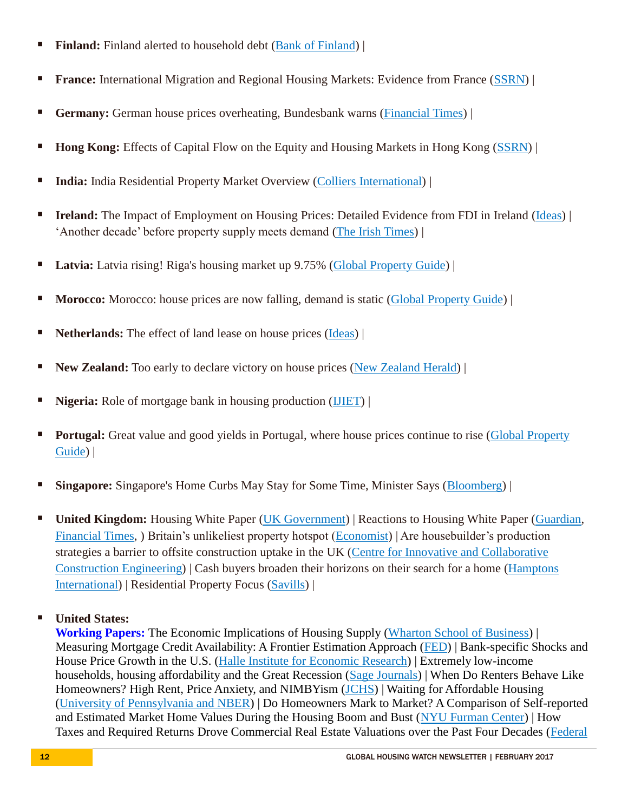- **Finland:** Finland alerted to household debt [\(Bank of Finland\)](http://www.bofbulletin.fi/en/2016/5/finland-alerted-to-household-debt/) |
- **France:** International Migration and Regional Housing Markets: Evidence from France [\(SSRN\)](https://papers.ssrn.com/sol3/papers.cfm?abstract_id=2911454) |
- **Germany:** German house prices overheating, Bundesbank warns [\(Financial Times\)](https://www.ft.com/content/fc912b72-97cf-11e3-ab60-00144feab7de) |
- **Hong Kong:** Effects of Capital Flow on the Equity and Housing Markets in Hong Kong [\(SSRN\)](https://papers.ssrn.com/sol3/papers.cfm?abstract_id=2909401) |
- **India:** India Residential Property Market Overview [\(Colliers International\)](http://www.colliers.com/-/media/files/apac/india/market%20insights/2017-india-rpmo.pdf?la=en-GB) |
- **Ireland:** The Impact of Employment on Housing Prices: Detailed Evidence from FDI in Ireland [\(Ideas\)](https://ideas.repec.org/p/tcd/tcduee/tep0417.html) | 'Another decade' before property supply meets demand [\(The Irish Times\)](http://www.irishtimes.com/business/economy/another-decade-before-property-supply-meets-demand-1.2976601) |
- **Latvia:** Latvia rising! Riga's housing market up 9.75% [\(Global Property Guide\)](http://www.globalpropertyguide.com/Europe/Latvia/Price-History) |
- **Morocco:** Morocco: house prices are now falling, demand is static [\(Global Property Guide\)](http://www.globalpropertyguide.com/Middle-East/Morocco/Price-History) |
- **Netherlands:** The effect of land lease on house prices [\(Ideas\)](https://ideas.repec.org/p/hhs/gunwpe/0686.html) |
- **New Zealand:** Too early to declare victory on house prices [\(New Zealand Herald\)](http://www.nzherald.co.nz/business/news/article.cfm?c_id=3&objectid=11797749) |
- **Nigeria:** Role of mortgage bank in housing production [\(IJIET\)](http://www.ijeit.com/Vol%206/Issue%202/IJEIT1412201608_01.pdf) |
- **Portugal:** Great value and good yields in Portugal, where house prices continue to rise (Global Property [Guide\)](http://www.globalpropertyguide.com/Europe/Portugal/Price-History) |
- **Singapore:** Singapore's Home Curbs May Stay for Some Time, Minister Says [\(Bloomberg\)](https://www.bloomberg.com/news/articles/2017-02-21/singapore-s-housing-curbs-may-stay-for-some-time-minister-says) |
- **United Kingdom:** Housing White Paper [\(UK Government\)](https://www.gov.uk/government/collections/housing-white-paper) | Reactions to Housing White Paper [\(Guardian,](https://www.theguardian.com/society/2017/feb/08/housing-white-paper-raises-more-questions-than-answers) [Financial Times,](https://www.ft.com/content/01c3d4c2-ec8d-11e6-930f-061b01e23655) ) Britain's unlikeliest property hotspot [\(Economist\)](http://www.economist.com/news/britain/21715721-2003-shetlands-house-prices-have-doubled-larger-rise-any-other-part) | Are housebuilder's production strategies a barrier to offsite construction uptake in the UK [\(Centre for Innovative and Collaborative](http://www.arcom.ac.uk/-docs/proceedings/57cb43978c134a7b979846ee8d84b2bc.pdf)  [Construction Engineering\)](http://www.arcom.ac.uk/-docs/proceedings/57cb43978c134a7b979846ee8d84b2bc.pdf) | Cash buyers broaden their horizons on their search for a home [\(Hamptons](http://www.hamptons.co.uk/media/445392/marketinsight-january.pdf)  [International\)](http://www.hamptons.co.uk/media/445392/marketinsight-january.pdf) | Residential Property Focus [\(Savills\)](http://www.savills.co.uk/research_articles/141285/214757-0) |
- **United States:**

**Working Papers:** The Economic Implications of Housing Supply [\(Wharton School of Business\)](http://realestate.wharton.upenn.edu/research/papers/full/802.pdf) | Measuring Mortgage Credit Availability: A Frontier Estimation Approach [\(FED\)](https://4ce05836-a-62cb3a1a-s-sites.googlegroups.com/site/edwardkung/ahkm_1_10_2017.pdf?attachauth=ANoY7cozG7frAQfZmWJDZmwUhPHLjkD2PfFoA5fDD-x5KkwpP8xBFYvGAeZUsfUW2KPh5wjy3NZot89yQjSWOH5CNdXxYGB7_CypVLqeMYtGuhXZuoTmwuemawdPwh0Ljt2uxGOJI7loDreHOSJP9rlduImF3wPMz6sfO2xMZYIoP2Lu0HNNHzSsLk09muiKmmRcvtzIEZbQ1YWcZp-zP_S_WbywNH0QZw%3D%3D&attredirects=0) | Bank-specific Shocks and House Price Growth in the U.S. [\(Halle Institute for Economic Research\)](https://www.econstor.eu/bitstream/10419/149645/1/877997209.pdf) | Extremely low-income households, housing affordability and the Great Recession [\(Sage Journals\)](http://journals.sagepub.com/doi/abs/10.1177/0042098016686511) | When Do Renters Behave Like Homeowners? High Rent, Price Anxiety, and NIMBYism [\(JCHS\)](http://www.jchs.harvard.edu/research/publications/when-do-renters-behave-homeowners-high-rent-price-anxiety-and-nimbyism) | Waiting for Affordable Housing [\(University of Pennsylvania and NBER\)](http://www.cirje.e.u-tokyo.ac.jp/research/workshops/micro/micropaper16/micro0206.pdf) | Do Homeowners Mark to Market? A Comparison of Self-reported and Estimated Market Home Values During the Housing Boom and Bust [\(NYU Furman Center\)](http://furmancenter.org/research/publication/do-homeowners-mark-to-market-a-comparison-of-self-reported-and-estimated-ma) | How Taxes and Required Returns Drove Commercial Real Estate Valuations over the Past Four Decades [\(Federal](https://www.dallasfed.org/research/papers/2017/wp1703.aspx)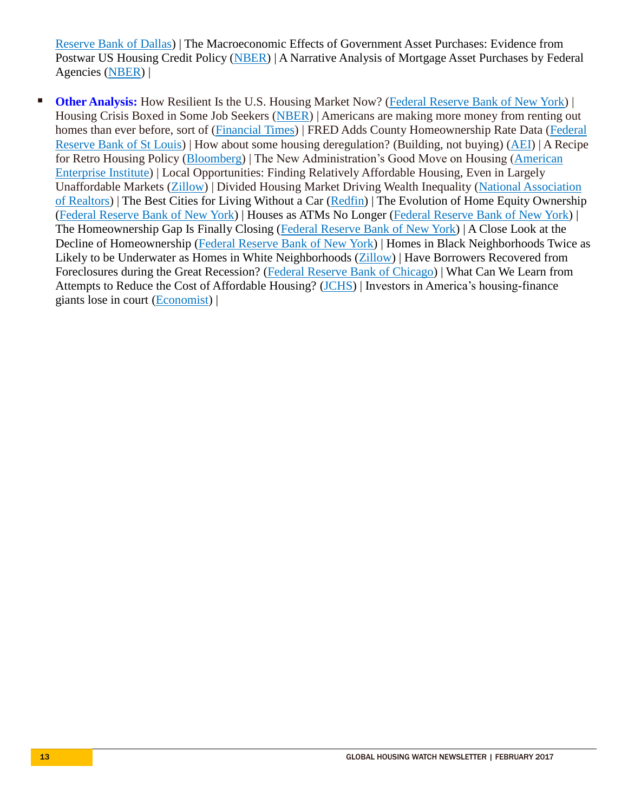[Reserve Bank of Dallas\)](https://www.dallasfed.org/research/papers/2017/wp1703.aspx) | The Macroeconomic Effects of Government Asset Purchases: Evidence from Postwar US Housing Credit Policy [\(NBER\)](http://www.nber.org/papers/w23154) | A Narrative Analysis of Mortgage Asset Purchases by Federal Agencies [\(NBER\)](http://www.nber.org/papers/w23165) |

**Other Analysis:** How Resilient Is the U.S. Housing Market Now? [\(Federal Reserve Bank of New York\)](http://libertystreeteconomics.newyorkfed.org/2017/02/how-resilient-is-the-us-housing-market-now.html) | Housing Crisis Boxed in Some Job Seekers [\(NBER\)](http://www.nber.org/digest/feb17/w22929.html) | Americans are making more money from renting out homes than ever before, sort of (*Financial Times*) | FRED Adds County Homeownership Rate Data (Federal [Reserve Bank of St Louis\)](https://news.research.stlouisfed.org/2017/01/fred-adds-county-homeownership-rate-data/) | How about some housing deregulation? (Building, not buying) [\(AEI\)](https://www.aei.org/publication/how-about-some-housing-deregulation-building-not-buying/) | A Recipe for Retro Housing Policy [\(Bloomberg\)](https://www.bloomberg.com/view/articles/2017-01-26/trump-is-set-up-for-retro-housing-policy) | The New Administration's Good Move on Housing [\(American](https://www.aei.org/publication/the-new-administrations-good-move-on-housing/)  [Enterprise Institute\)](https://www.aei.org/publication/the-new-administrations-good-move-on-housing/) | Local Opportunities: Finding Relatively Affordable Housing, Even in Largely Unaffordable Markets [\(Zillow\)](http://www.zillow.com/research/city-level-affordability-2016-14140/) | Divided Housing Market Driving Wealth Inequality [\(National Association](https://www.nar.realtor/newsroom/op-eds-and-letters-to-the-editor/divided-housing-market-driving-wealth-inequality)  [of Realtors\)](https://www.nar.realtor/newsroom/op-eds-and-letters-to-the-editor/divided-housing-market-driving-wealth-inequality) | The Best Cities for Living Without a Car [\(Redfin\)](https://www.redfin.com/blog/2017/02/the-best-cities-for-living-without-a-car.html) | The Evolution of Home Equity Ownership [\(Federal Reserve Bank of New York\)](http://libertystreeteconomics.newyorkfed.org/2017/02/the-evolution-of-home-equity-ownership.html) | Houses as ATMs No Longer [\(Federal Reserve Bank of New York\)](http://libertystreeteconomics.newyorkfed.org/2017/02/houses-as-atms-no-longer.html) | The Homeownership Gap Is Finally Closing [\(Federal Reserve Bank of New York\)](http://libertystreeteconomics.newyorkfed.org/2017/02/the-homeownership-gap-is-finally-closing.html) | A Close Look at the Decline of Homeownership [\(Federal Reserve Bank of New York\)](http://libertystreeteconomics.newyorkfed.org/2017/02/a-close-look-at-the-decline-of-homeownership.html) | Homes in Black Neighborhoods Twice as Likely to be Underwater as Homes in White Neighborhoods [\(Zillow\)](https://www.zillow.com/research/negative-equity-race-q3-2016-14063/) | Have Borrowers Recovered from Foreclosures during the Great Recession? [\(Federal Reserve Bank of Chicago\)](https://www.chicagofed.org/publications/chicago-fed-letter/2016/370) | What Can We Learn from Attempts to Reduce the Cost of Affordable Housing? [\(JCHS\)](http://housingperspectives.blogspot.com/2017/02/what-can-we-learn-from-attempts-to.html) | Investors in America's housing-finance giants lose in court [\(Economist\)](http://www.economist.com/news/finance-and-economics/21717425-appeals-court-backs-expropriation-shareholders-fannie-mae-and-freddie) |